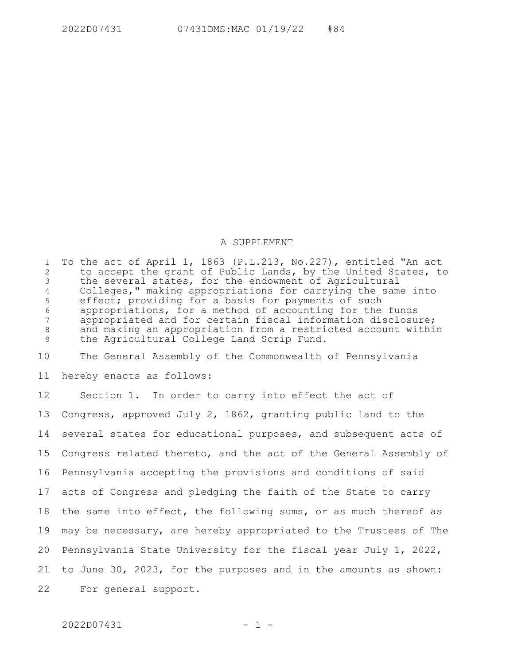## A SUPPLEMENT

To the act of April 1, 1863 (P.L.213, No.227), entitled "An act to accept the grant of Public Lands, by the United States, to the several states, for the endowment of Agricultural Colleges," making appropriations for carrying the same into effect; providing for a basis for payments of such appropriations, for a method of accounting for the funds appropriated and for certain fiscal information disclosure; and making an appropriation from a restricted account within the Agricultural College Land Scrip Fund. 1 2 3 4 5 6 7 8 9

The General Assembly of the Commonwealth of Pennsylvania 10

hereby enacts as follows: 11

Section 1. In order to carry into effect the act of Congress, approved July 2, 1862, granting public land to the several states for educational purposes, and subsequent acts of Congress related thereto, and the act of the General Assembly of Pennsylvania accepting the provisions and conditions of said acts of Congress and pledging the faith of the State to carry the same into effect, the following sums, or as much thereof as may be necessary, are hereby appropriated to the Trustees of The Pennsylvania State University for the fiscal year July 1, 2022, to June 30, 2023, for the purposes and in the amounts as shown: For general support. 12 13 14 15 16 17 18 19 20 21 22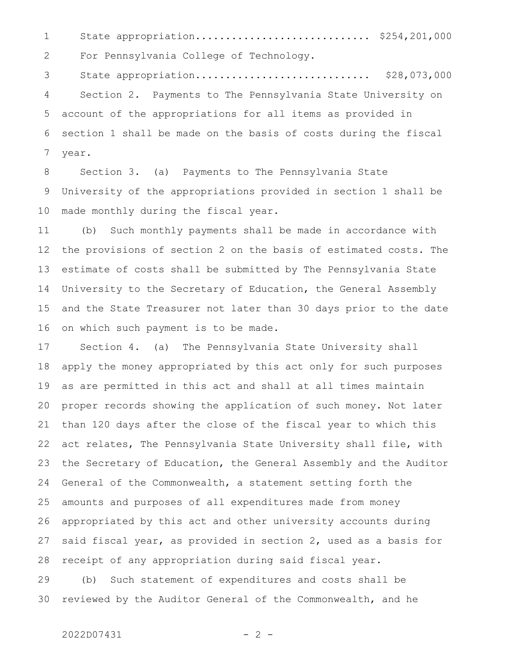State appropriation............................. \$254,201,000 For Pennsylvania College of Technology. State appropriation............................. \$28,073,000 Section 2. Payments to The Pennsylvania State University on account of the appropriations for all items as provided in section 1 shall be made on the basis of costs during the fiscal year. 1 2 3 4 5 6 7

Section 3. (a) Payments to The Pennsylvania State University of the appropriations provided in section 1 shall be made monthly during the fiscal year. 8 9 10

(b) Such monthly payments shall be made in accordance with the provisions of section 2 on the basis of estimated costs. The estimate of costs shall be submitted by The Pennsylvania State University to the Secretary of Education, the General Assembly and the State Treasurer not later than 30 days prior to the date on which such payment is to be made. 11 12 13 14 15 16

Section 4. (a) The Pennsylvania State University shall apply the money appropriated by this act only for such purposes as are permitted in this act and shall at all times maintain proper records showing the application of such money. Not later than 120 days after the close of the fiscal year to which this act relates, The Pennsylvania State University shall file, with the Secretary of Education, the General Assembly and the Auditor General of the Commonwealth, a statement setting forth the amounts and purposes of all expenditures made from money appropriated by this act and other university accounts during said fiscal year, as provided in section 2, used as a basis for receipt of any appropriation during said fiscal year. 17 18 19 20 21 22 23 24 25 26 27 28

(b) Such statement of expenditures and costs shall be reviewed by the Auditor General of the Commonwealth, and he 29 30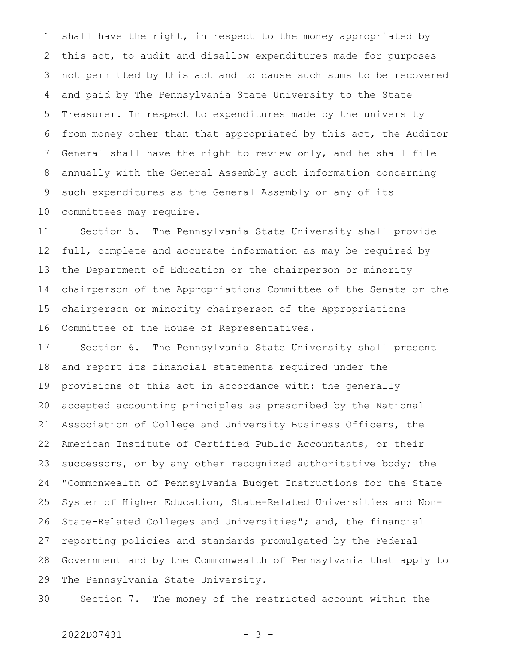shall have the right, in respect to the money appropriated by this act, to audit and disallow expenditures made for purposes not permitted by this act and to cause such sums to be recovered and paid by The Pennsylvania State University to the State Treasurer. In respect to expenditures made by the university from money other than that appropriated by this act, the Auditor General shall have the right to review only, and he shall file annually with the General Assembly such information concerning such expenditures as the General Assembly or any of its committees may require. 1 2 3 4 5 6 7 8 9 10

Section 5. The Pennsylvania State University shall provide full, complete and accurate information as may be required by the Department of Education or the chairperson or minority chairperson of the Appropriations Committee of the Senate or the chairperson or minority chairperson of the Appropriations Committee of the House of Representatives. 11 12 13 14 15 16

Section 6. The Pennsylvania State University shall present and report its financial statements required under the provisions of this act in accordance with: the generally accepted accounting principles as prescribed by the National Association of College and University Business Officers, the American Institute of Certified Public Accountants, or their successors, or by any other recognized authoritative body; the "Commonwealth of Pennsylvania Budget Instructions for the State System of Higher Education, State-Related Universities and Non-State-Related Colleges and Universities"; and, the financial reporting policies and standards promulgated by the Federal Government and by the Commonwealth of Pennsylvania that apply to The Pennsylvania State University. 17 18 19 20 21 22 23 24 25 26 27 28 29

Section 7. The money of the restricted account within the 30

## $2022D07431$  - 3 -